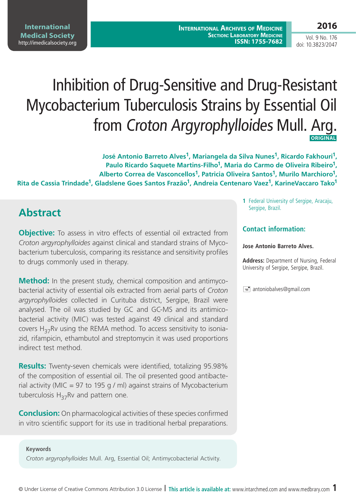Vol. 9 No. 176 doi: 10.3823/2047

# Inhibition of Drug-Sensitive and Drug-Resistant Mycobacterium Tuberculosis Strains by Essential Oil from Croton Argyrophylloides Mull. Arg.  **ORIGINAL**

**José Antonio Barreto Alves1, Mariangela da Silva Nunes1, Ricardo Fakhouri1, Paulo Ricardo Saquete Martins-Filho1, Maria do Carmo de Oliveira Ribeiro1, Alberto Correa de Vasconcellos1, Patricia Oliveira Santos1, Murilo Marchioro1, Rita de Cassia Trindade1, Gladslene Goes Santos Frazão1, Andreia Centenaro Vaez1, KarineVaccaro Tako1**

# **Abstract**

**Objective:** To assess in vitro effects of essential oil extracted from *Croton argyrophylloides* against clinical and standard strains of Mycobacterium tuberculosis, comparing its resistance and sensitivity profiles to drugs commonly used in therapy.

**Method:** In the present study, chemical composition and antimycobacterial activity of essential oils extracted from aerial parts of *Croton argyrophylloides* collected in Curituba district, Sergipe, Brazil were analysed. The oil was studied by GC and GC-MS and its antimicobacterial activity (MIC) was tested against 49 clinical and standard covers  $H_{27}Rv$  using the REMA method. To access sensitivity to isoniazid, rifampicin, ethambutol and streptomycin it was used proportions indirect test method.

**Results:** Twenty-seven chemicals were identified, totalizing 95.98% of the composition of essential oil. The oil presented good antibacterial activity (MIC = 97 to 195 g / ml) against strains of Mycobacterium tuberculosis  $H_{37}Rv$  and pattern one.

**Conclusion:** On pharmacological activities of these species confirmed in vitro scientific support for its use in traditional herbal preparations.

#### **Keywords**

*Croton argyrophylloides* Mull. Arg, Essential Oil; Antimycobacterial Activity.

**1** Federal University of Sergipe, Aracaju, Sergipe, Brazil.

#### **Contact information:**

#### **Jose Antonio Barreto Alves.**

**Address:** Department of Nursing, Federal University of Sergipe, Sergipe, Brazil.

 $\equiv$  antoniobalves@gmail.com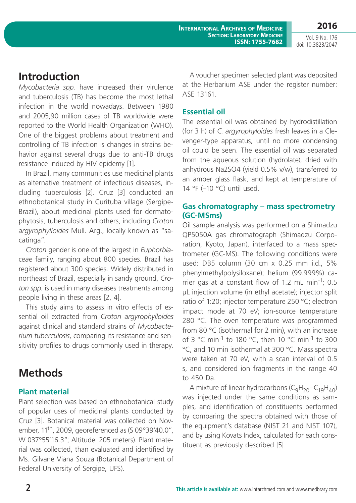**International Archives of Medicine SECTION: LABORATORY MEDICINE ISSN: 1755-7682**

Vol. 9 No. 176 doi: 10.3823/2047

**2016**

### **Introduction**

*Mycobacteria spp.* have increased their virulence and tuberculosis (TB) has become the most lethal infection in the world nowadays. Between 1980 and 2005,90 million cases of TB worldwide were reported to the World Health Organization (WHO). One of the biggest problems about treatment and controlling of TB infection is changes in strains behavior against several drugs due to anti-TB drugs resistance induced by HIV epidemy [1].

In Brazil, many communities use medicinal plants as alternative treatment of infectious diseases, including tuberculosis [2]. Cruz [3] conducted an ethnobotanical study in Curituba village (Sergipe-Brazil), about medicinal plants used for dermatophytosis, tuberculosis and others, including *Croton argyrophylloides* Mull. Arg., locally known as "sacatinga".

*Croton* gender is one of the largest in *Euphorbiaceae* family, ranging about 800 species. Brazil has registered about 300 species. Widely distributed in northeast of Brazil, especially in sandy ground, *Croton spp.* is used in many diseases treatments among people living in these areas [2, 4].

This study aims to assess in vitro effects of essential oil extracted from *Croton argyrophylloides* against clinical and standard strains of *Mycobacterium tuberculosis*, comparing its resistance and sensitivity profiles to drugs commonly used in therapy.

# **Methods**

### **Plant material**

Plant selection was based on ethnobotanical study of popular uses of medicinal plants conducted by Cruz [3]. Botanical material was collected on November, 11th, 2009, georeferenced as (S 09°39'40.0", W 037º55'16.3"; Altitude: 205 meters). Plant material was collected, than evaluated and identified by Ms. Gilvane Viana Souza (Botanical Department of Federal University of Sergipe, UFS).

A voucher specimen selected plant was deposited at the Herbarium ASE under the register number: ASE 13161.

### **Essential oil**

The essential oil was obtained by hydrodistillation (for 3 h) of *C. argyrophyloides* fresh leaves in a Clevenger-type apparatus, until no more condensing oil could be seen. The essential oil was separated from the aqueous solution (hydrolate), dried with anhydrous Na2SO4 (yield 0.5% v/w), transferred to an amber glass flask, and kept at temperature of 14 °F (–10 °C) until used.

### **Gas chromatography – mass spectrometry (GC-MSms)**

Oil sample analysis was performed on a Shimadzu QP5050A gas chromatograph (Shimadzu Corporation, Kyoto, Japan), interfaced to a mass spectrometer (GC-MS). The following conditions were used: DB5 column (30 cm x 0.25 mm i.d., 5% phenylmethylpolysiloxane); helium (99.999%) carrier gas at a constant flow of 1.2 mL min<sup>-1</sup>; 0.5 μL injection volume (in ethyl acetate); injector split ratio of 1:20; injector temperature 250 °C; electron impact mode at 70 eV; ion-source temperature 280 °C. The oven temperature was programmed from 80 °C (isothermal for 2 min), with an increase of 3 °C min<sup>-1</sup> to 180 °C, then 10 °C min<sup>-1</sup> to 300 °C, and 10 min isothermal at 300 °C. Mass spectra were taken at 70 eV, with a scan interval of 0.5 s, and considered ion fragments in the range 40 to 450 Da.

A mixture of linear hydrocarbons ( $C_9H_{20}-C_{19}H_{40}$ ) was injected under the same conditions as samples, and identification of constituents performed by comparing the spectra obtained with those of the equipment's database (NIST 21 and NIST 107), and by using Kovats Index, calculated for each constituent as previously described [5].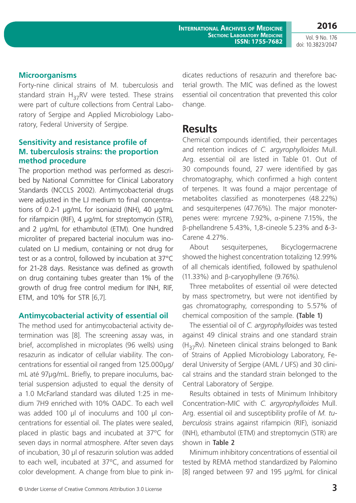**International Archives of Medicine SECTION: LABORATORY MEDICINE ISSN: 1755-7682** **2016**

Vol. 9 No. 176 doi: 10.3823/2047

#### **Microorganisms**

Forty-nine clinical strains of M. tuberculosis and standard strain  $H_{37}RV$  were tested. These strains were part of culture collections from Central Laboratory of Sergipe and Applied Microbiology Laboratory, Federal University of Sergipe.

#### **Sensitivity and resistance profile of M. tuberculosis strains: the proportion method procedure**

The proportion method was performed as described by National Committee for Clinical Laboratory Standards (NCCLS 2002). Antimycobacterial drugs were adjusted in the LJ medium to final concentrations of 0.2-1 µg/mL for isoniazid (INH), 40 µg/mL for rifampicin (RIF), 4 µg/mL for streptomycin (STR), and 2 µg/mL for ethambutol (ETM). One hundred microliter of prepared bacterial inoculum was inoculated on LJ medium, containing or not drug for test or as a control, followed by incubation at 37°C for 21-28 days. Resistance was defined as growth on drug containing tubes greater than 1% of the growth of drug free control medium for INH, RIF, ETM, and 10% for STR [6,7].

#### **Antimycobacterial activity of essential oil**

The method used for antimycobacterial activity determination was [8]. The screening assay was, in brief, accomplished in microplates (96 wells) using resazurin as indicator of cellular viability. The concentrations for essential oil ranged from 125.000µg/ mL até 97µg/mL. Briefly, to prepare inoculums, bacterial suspension adjusted to equal the density of a 1.0 McFarland standard was diluted 1:25 in medium 7H9 enriched with 10% OADC. To each well was added 100 µl of inoculums and 100 µl concentrations for essential oil. The plates were sealed, placed in plastic bags and incubated at 37ºC for seven days in normal atmosphere. After seven days of incubation, 30 µl of resazurin solution was added to each well, incubated at 37ºC, and assumed for color development. A change from blue to pink indicates reductions of resazurin and therefore bacterial growth. The MIC was defined as the lowest essential oil concentration that prevented this color change.

### **Results**

Chemical compounds identified, their percentages and retention indices of *C. argyrophylloides* Mull. Arg. essential oil are listed in Table 01. Out of 30 compounds found, 27 were identified by gas chromatography, which confirmed a high content of terpenes. It was found a major percentage of metabolites classified as monoterpenes (48.22%) and sesquiterpenes (47.76%). The major monoterpenes were: myrcene 7.92%, α-pinene 7.15%, the β-phellandrene 5.43%, 1,8-cineole 5.23% and δ-3- Carene 4.27%.

About sesquiterpenes, Bicyclogermacrene showed the highest concentration totalizing 12.99% of all chemicals identified, followed by spathulenol (11.33%) and β-caryophyllene (9.76%).

Three metabolites of essential oil were detected by mass spectrometry, but were not identified by gas chromatography, corresponding to 5.57% of chemical composition of the sample. **(Table 1)**

The essential oil of *C. argyrophylloides* was tested against 49 clinical strains and one standard strain  $(H_{27}Rv)$ . Nineteen clinical strains belonged to Bank of Strains of Applied Microbiology Laboratory, Federal University of Sergipe (AML / UFS) and 30 clinical strains and the standard strain belonged to the Central Laboratory of Sergipe.

Results obtained in tests of Minimum Inhibitory Concentration-MIC with *C. argyrophylloides* Mull. Arg. essential oil and susceptibility profile of *M. tuberculosis* strains against rifampicin (RIF), isoniazid (INH), ethambutol (ETM) and streptomycin (STR) are shown in **Table 2**

Minimum inhibitory concentrations of essential oil tested by REMA method standardized by Palomino [8] ranged between 97 and 195 µg/mL for clinical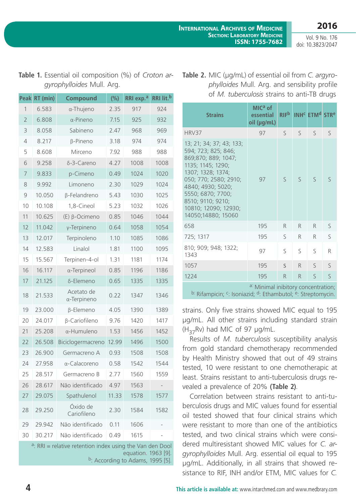**International Archives of Medicine SECTION: LABORATORY MEDICINE ISSN: 1755-7682**

Vol. 9 No. 176 doi: 10.3823/2047

**2016**

| <b>Peak</b>                                                                                                                                 | RT (min) | Compound                          | (%)   | RRI exp. <sup>a</sup> | RRI lit. <sup>b</sup> |  |  |  |  |
|---------------------------------------------------------------------------------------------------------------------------------------------|----------|-----------------------------------|-------|-----------------------|-----------------------|--|--|--|--|
| 1                                                                                                                                           | 6.583    | α-Thujeno                         | 2.35  | 917                   | 924                   |  |  |  |  |
| $\overline{2}$                                                                                                                              | 6.808    | $\alpha$ -Pineno                  | 7.15  | 925                   | 932                   |  |  |  |  |
| 3                                                                                                                                           | 8.058    | Sabineno                          | 2.47  | 968                   | 969                   |  |  |  |  |
| $\overline{4}$                                                                                                                              | 8.217    | $\beta$ -Pineno                   | 3.18  | 974                   | 974                   |  |  |  |  |
| 5                                                                                                                                           | 8.608    | Mirceno                           | 7.92  | 988                   | 988                   |  |  |  |  |
| 6                                                                                                                                           | 9.258    | δ-3-Careno                        | 4.27  | 1008                  | 1008                  |  |  |  |  |
| 7                                                                                                                                           | 9.833    | p-Cimeno                          | 0.49  | 1024                  | 1020                  |  |  |  |  |
| 8                                                                                                                                           | 9.992    | Limoneno                          | 2.30  | 1029                  | 1024                  |  |  |  |  |
| 9                                                                                                                                           | 10.050   | β-Felandreno                      | 5.43  | 1030                  | 1025                  |  |  |  |  |
| 10                                                                                                                                          | 10.108   | 1,8-Cineol                        | 5.23  | 1032                  | 1026                  |  |  |  |  |
| 11                                                                                                                                          | 10.625   | $(E)$ $\beta$ -Ocimeno            | 0.85  | 1046                  | 1044                  |  |  |  |  |
| 12                                                                                                                                          | 11.042   | γ-Terpineno                       | 0.64  | 1058                  | 1054                  |  |  |  |  |
| 13                                                                                                                                          | 12.017   | Terpinoleno                       | 1.10  | 1085                  | 1086                  |  |  |  |  |
| 14                                                                                                                                          | 12.583   | Linalol                           | 1.81  | 1100                  | 1095                  |  |  |  |  |
| 15                                                                                                                                          | 15.567   | Terpinen-4-ol                     | 1.31  | 1181                  | 1174                  |  |  |  |  |
| 16                                                                                                                                          | 16.117   | $\alpha$ -Terpineol               | 0.85  | 1196                  | 1186                  |  |  |  |  |
| 17                                                                                                                                          | 21.125   | δ-Elemeno                         | 0.65  | 1335                  | 1335                  |  |  |  |  |
| 18                                                                                                                                          | 21.533   | Acetato de<br>$\alpha$ -Terpineno | 0.22  | 1347                  | 1346                  |  |  |  |  |
| 19                                                                                                                                          | 23.000   | β-Elemeno                         | 4.05  | 1390                  | 1389                  |  |  |  |  |
| 20                                                                                                                                          | 24.017   | β-Cariofileno                     | 9.76  | 1420                  | 1417                  |  |  |  |  |
| 21                                                                                                                                          | 25.208   | α-Humuleno                        | 1.53  | 1456                  | 1452                  |  |  |  |  |
| 22                                                                                                                                          | 26.508   | Biciclogermacreno                 | 12.99 | 1496                  | 1500                  |  |  |  |  |
| 23                                                                                                                                          | 26.900   | Germacreno A                      | 0.93  | 1508                  | 1508                  |  |  |  |  |
| 24                                                                                                                                          | 27.958   | α-Calacoreno                      | 0.58  | 1542                  | 1544                  |  |  |  |  |
| 25                                                                                                                                          | 28.517   | Germacreno B                      | 2.77  | 1560                  | 1559                  |  |  |  |  |
| 26                                                                                                                                          | 28.617   | Não identificado                  | 4.97  | 1563                  |                       |  |  |  |  |
| 27                                                                                                                                          | 29.075   | Spathulenol                       | 11.33 | 1578                  | 1577                  |  |  |  |  |
| 28                                                                                                                                          | 29.250   | Óxido de<br>Cariofileno           | 2.30  | 1584                  | 1582                  |  |  |  |  |
| 29                                                                                                                                          | 29.942   | Não identificado                  | 0.11  | 1606                  |                       |  |  |  |  |
| 30                                                                                                                                          | 30.217   | Não identificado                  | 0.49  | 1615                  |                       |  |  |  |  |
| <sup>a</sup> : RRI = relative retention index using the Van den Dool<br>equation. 1963 [9].<br><sup>b</sup> : According to Adams, 1995 [5]. |          |                                   |       |                       |                       |  |  |  |  |

|  | <b>Table 1.</b> Essential oil composition (%) of Croton ar- |  |
|--|-------------------------------------------------------------|--|
|  | gyrophylloides Mull. Arg.                                   |  |

**Table 2.** MIC (µg/mL) of essential oil from *C. argyrophylloides* Mull. Arg. and sensibility profile of *M. tuberculosis* strains to anti-TB drugs

| <b>Strains</b>                                                                                                                                                                                                                                         | $MICa$ of<br>essential<br>oil (µg/mL) | RIF <sup>b</sup> |              | <b>INH<sup>c</sup> ETM<sup>d</sup> STR<sup>e</sup></b> |              |  |  |  |
|--------------------------------------------------------------------------------------------------------------------------------------------------------------------------------------------------------------------------------------------------------|---------------------------------------|------------------|--------------|--------------------------------------------------------|--------------|--|--|--|
| HRV37                                                                                                                                                                                                                                                  | 97                                    | $\mathsf{S}$     | $\mathsf{S}$ | $\varsigma$                                            | $\mathsf{S}$ |  |  |  |
| 13; 21; 34; 37; 43; 133;<br>594; 723; 825; 846;<br>869;870; 889; 1047;<br>1135; 1145; 1290;<br>1307; 1328; 1374;<br>050; 770; 2580; 2910;<br>4840; 4930; 5020;<br>5550; 6870; 7700;<br>8510; 9110; 9210;<br>10810; 12090; 12930;<br>14050;14880; 15060 | 97                                    | $\varsigma$      | $\varsigma$  | $\varsigma$                                            | $\mathsf{S}$ |  |  |  |
| 658                                                                                                                                                                                                                                                    | 195                                   | R                | R            | R                                                      | S            |  |  |  |
| 725; 1317                                                                                                                                                                                                                                              | 195                                   | S                | R            | R                                                      | S            |  |  |  |
| 810; 909; 948; 1322;<br>1343                                                                                                                                                                                                                           | 97                                    | S                | $\mathsf{S}$ | $\mathsf{S}$                                           | R            |  |  |  |
| 1057                                                                                                                                                                                                                                                   | 195                                   | S                | R            | $\mathsf{S}$                                           | $\mathsf{S}$ |  |  |  |
| 1224                                                                                                                                                                                                                                                   | 195                                   | R                | R            | $\varsigma$                                            | S            |  |  |  |
| a: Minimal inibitory concentration;<br><sup>b:</sup> Rifampicin; <sup>c</sup> : Isoniazid; <sup>d</sup> : Ethambutol; <sup>e</sup> : Streptomycin.                                                                                                     |                                       |                  |              |                                                        |              |  |  |  |

strains. Only five strains showed MIC equal to 195 µg/mL. All other strains including standard strain  $(H_{27}Rv)$  had MIC of 97 µg/mL.

Results of *M. tuberculosis* susceptibility analysis from gold standard chemotherapy recommended by Health Ministry showed that out of 49 strains tested, 10 were resistant to one chemotherapic at least. Strains resistant to anti-tuberculosis drugs revealed a prevalence of 20% **(Table 2)**.

Correlation between strains resistant to anti-tuberculosis drugs and MIC values found for essential oil tested showed that four clinical strains which were resistant to more than one of the antibiotics tested, and two clinical strains which were considered multiresistant showed MIC values for *C. argyrophylloides* Mull. Arg. essential oil equal to 195 µg/mL. Additionally, in all strains that showed resistance to RIF, INH and/or ETM, MIC values for *C.*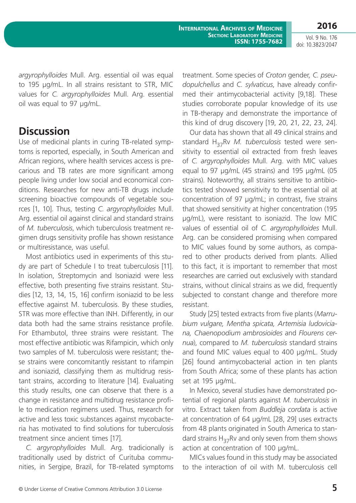Vol. 9 No. 176 doi: 10.3823/2047

*argyrophylloides* Mull. Arg. essential oil was equal to 195 µg/mL. In all strains resistant to STR, MIC values for *C. argyrophylloides* Mull. Arg. essential oil was equal to 97 µg/mL.

# **Discussion**

Use of medicinal plants in curing TB-related symptoms is reported, especially, in South American and African regions, where health services access is precarious and TB rates are more significant among people living under low social and economical conditions. Researches for new anti-TB drugs include screening bioactive compounds of vegetable sources [1, 10]. Thus, testing *C. argyrophylloides* Mull. Arg. essential oil against clinical and standard strains of *M. tuberculosis*, which tuberculosis treatment regimen drugs sensitivity profile has shown resistance or multiresistance, was useful.

Most antibiotics used in experiments of this study are part of Schedule I to treat tuberculosis [11]. In isolation, Streptomycin and Isoniazid were less effective, both presenting five strains resistant. Studies [12, 13, 14, 15, 16] confirm isoniazid to be less effective against M. tuberculosis. By these studies, STR was more effective than INH. Differently, in our data both had the same strains resistance profile. For Ethambutol, three strains were resistant. The most effective antibiotic was Rifampicin, which only two samples of M. tuberculosis were resistant; these strains were concomitantly resistant to rifampin and isoniazid, classifying them as multidrug resistant strains, according to literature [14]. Evaluating this study results, one can observe that there is a change in resistance and multidrug resistance profile to medication regimens used. Thus, research for active and less toxic substances against mycobacteria has motivated to find solutions for tuberculosis treatment since ancient times [17].

*C. argyrophylloides* Mull. Arg. tradicionally is traditionally used by district of Curituba communities, in Sergipe, Brazil, for TB-related symptoms treatment. Some species of *Croton* gender*, C. pseudopulchellus* and *C. sylvaticus*, have already confirmed their antimycobacterial activity [9,18]. These studies corroborate popular knowledge of its use in TB-therapy and demonstrate the importance of this kind of drug discovery [19, 20, 21, 22, 23, 24].

Our data has shown that all 49 clinical strains and standard H37Rv *M. tuberculosis* tested were sensitivity to essential oil extracted from fresh leaves of *C. argyrophylloides* Mull. Arg. with MIC values equal to 97 µg/mL (45 strains) and 195 µg/mL (05 strains). Noteworthy, all strains sensitive to antibiotics tested showed sensitivity to the essential oil at concentration of 97 µg/mL; in contrast, five strains that showed sensitivity at higher concentration (195 µg/mL), were resistant to isoniazid. The low MIC values of essential oil of *C. argyrophylloides* Mull. Arg. can be considered promising when compared to MIC values found by some authors, as compared to other products derived from plants. Allied to this fact, it is important to remember that most researches are carried out exclusively with standard strains, without clinical strains as we did, frequently subjected to constant change and therefore more resistant.

Study [25] tested extracts from five plants (*Marrubium vulgare, Mentha spicata, Artemisia ludoviciana, Chaenopodium ambrosioides* and *Flourens cernua*), compared to *M. tuberculosis* standard strains and found MIC values equal to 400 µg/mL. Study [26] found antimycobacterial action in ten plants from South Africa; some of these plants has action set at 195 µg/mL.

In Mexico, several studies have demonstrated potential of regional plants against *M. tuberculosis* in vitro. Extract taken from *Buddleja cordata* is active at concentration of 64 µg/mL [28, 29] uses extracts from 48 plants originated in South America to standard strains  $H_{37}Rv$  and only seven from them shows action at concentration of 100 µg/mL.

MICs values found in this study may be associated to the interaction of oil with M. tuberculosis cell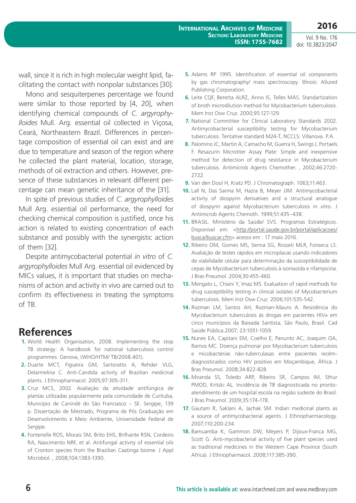**2016**

wall, since it is rich in high molecular weight lipid, facilitating the contact with nonpolar substances [30].

Mono and sesquiterpenes percentage we found were similar to those reported by [4, 20], when identifying chemical compounds of *C. argyrophylloides* Mull. Arg. essential oil collected in Viçosa, Ceará, Northeastern Brazil. Differences in percentage composition of essential oil can exist and are due to temperature and season of the region where he collected the plant material, location, storage, methods of oil extraction and others. However, presence of these substances in relevant different percentage can mean genetic inheritance of the [31].

In spite of previous studies of *C. argyrophylloides* Mull Arg. essential oil performance, the need for checking chemical composition is justified, once his action is related to existing concentration of each substance and possibly with the synergistic action of them [32].

Despite antimycobacterial potential *in vitro* of *C. argyrophylloides* Mull Arg. essential oil evidenced by MICs values, it is important that studies on mechanisms of action and activity in vivo are carried out to confirm its effectiveness in treating the symptoms of TB.

### **References**

- **1.** World Health Organisation, 2008. Implementing the stop TB strategy: A handbook for national tuberculosis control programmes. Genova, (WHO/HTM/ TB/2008.401).
- **2.** Duarte MCT, Figueira GM, Sartoratto A, Rehder VLG, Delarmelina C. Anti-Candida activity of Brazilian medicinal plants. J Ethnopharmacol. 2005;97:305-311.
- **3.** Cruz MCS, 2002. Avaliação da atividade antifúngica de plantas utilizadas popularmente pela comunidade de Curituba, Município de Canindé do São Franciasco – SE. Sergipe, 139 p. Dissertação de Mestrado, Programa de Pós Graduação em Desenvolvimento e Meio Ambiente, Universidade Federal de Sergipe.
- **4.** Fontenelle ROS, Morais SM, Brito EHS, Brilhante RSN, Cordeiro RA, Nascimento NRF, et al. Antifungal activity of essential oils of Cronton species from the Brazilian Caatinga biome. J Appl Microbiol. , 2008;104:1383-1390.
- **5.** Adams RP 1995. Identification of essential oil components by gas chromatography/ mass spectroscopy. Illinois: Allured Publishing Corporation.
- **6.** Leite CQF, Beretta ALRZ, Anno IS, Telles MAS. Standartization of broth microdilution method for Mycobacterium tuberculosis. Mem Inst Osw Cruz. 2000;95:127-129.
- **7.** National Committee for Clinical Laboratory Standards 2002. Antimycobacterial susceptibility testing for Mycobacterium tuberculosis. Tentative standard M24-T, NCCLS: Villanova. P.A.
- **8.** Palomino JC, Martin A, Camacho M, Guerra H, Swings J, Portaels F. Resazurin Microtiter Assay Plate: Simple and inexpensive method for detection of drug resistance in Mycobacterium tuberculosis. Antimicrob Agents Chemother. , 2002;46:2720- 2722.
- **9.** Van den Dool H, Kratz PD. J Chromatograph. 1063;11:463.
- **10.** Lall N, Das Sarma M, Hazra B, Meyer JJM. Antimycobacterial activity of diospyrin derivatives and a structural analogue of diospyrin against Mycobacterium tuberculosis in vitro. J Antimicrob Agents Chemoth. 1999;51:435–438.
- **11.** BRASIL. Ministério da Saúde/ SVS. Programas Estratégicos. Disponível em: <http://portal.saude.gov.br/portal/aplicacoes/ busca/buscar.cfm> acesso em : 17 maio 2016.
- **12.** Ribeiro OM, Gomes MS, Senna SG, Rosseti MLR, Fonseca LS. Avaliação de testes rápidos em microplacas usando indicadores de viabilidade celular para determinação da susceptibilidade de cepas de Mycobacterium tuberculosis à isoniazida e rifampicina. J Bras Pneumol. 2004;30:455-460.
- **13.** Mengato L, Chiani Y, Imaz MS. Evaluation of rapid methods for drug susceptibility testing in clinical isolates of Mycobacterium tuberculosis. Mem Inst Osw Cruz. 2006;101:535-542.
- **14.** Rozman LM, Santos AH, Rozman-Mauro A. Resistência do Mycobacterium tuberculosis às drogas em pacientes HIV+ em cinco municípios da Baixada Santista, São Paulo, Brasil. Cad Saúde Pública.2007; 23:1051-1059.
- **15.** Nunes EA, Capitani EM, Coelho E, Panunto AC, Joaquim OA, Ramos MC. Doença pulmonar por Mycobacterium tuberculosis e micobacterias não-tuberculasas entre pacientes recémdiagnosticados como HIV positivo em Moçambique, África. J Bras Pneumol. 2008;34:822-828.
- **16.** Miranda SS, Toledo ARP, Ribeiro SR, Campos IM, Sthur PMOD, Kritski AL. Incidência de TB diagnosticada no prontoatendimento de um hospital escola na região sudeste do Brasil. J Bras Pneumol. 2009;35:174-178.
- **17.** Gautam R, Saklani A, Jachak SM. Indian medicinal plants as a source of antimycobacterial agents. J Ethnopharmacology. 2007;110:200-234.
- **18.** Bamuamba K, Gammon DW, Meyers P, Dijoux-Franca MG, Scott G. Anti-mycobacterial activity of five plant species used as traditional medicines in the Western Cape Province (South Africa). J Ethnopharmacol. 2008;117:385-390.